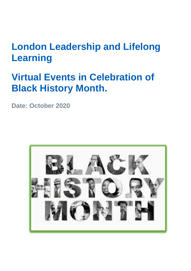# **London Leadership and Lifelong Learning**

# **Virtual Events in Celebration of Black History Month.**

**Date: October 2020**

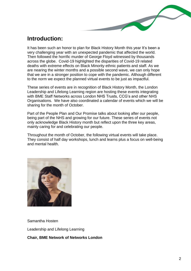# **Introduction:**

It has been such an honor to plan for Black History Month this year It's been a very challenging year with an unexpected pandemic that affected the world. Then followed the horrific murder of George Floyd witnessed by thousands across the globe. Covid-19 highlighted the disparities of Covid-19 related deaths with extreme effects on Black Minority ethnic patients and staff. As we are nearing the winter months and a possible second wave, we can only hope that we are in a stronger position to cope with the pandemic. Although different to the norm we expect the planned virtual events to be just as impactful.

These series of events are in recognition of Black History Month, the London Leadership and Lifelong Learning region are hosting these events integrating with BME Staff Networks across London NHS Trusts, CCG's and other NHS Organisations. We have also coordinated a calendar of events which we will be sharing for the month of October.

Part of the People Plan and Our Promise talks about looking after our people, being part of the NHS and growing for our future. These series of events not only acknowledge Black History month but reflect upon the three key areas, mainly caring for and celebrating our people.

Throughout the month of October, the following virtual events will take place. They consist of half day workshops, lunch and learns plus a focus on well-being and mental health.



Samantha Hosten

Leadership and Lifelong Learning

**Chair, BME Network of Networks London**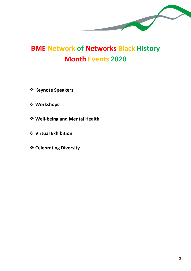

# **BME Network of Networks Black History Month Events 2020**

- ❖ **Keynote Speakers**
- ❖ **Workshops**
- ❖ **Well-being and Mental Health**
- ❖ **Virtual Exhibition**
- ❖ **Celebrating Diversity**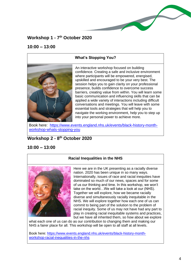# **Workshop 1 - 7 th October 2020**

#### **10:00 – 13:00**

#### **What's Stopping You?**

An interactive workshop focused on building confidence. Creating a safe and inclusive environment where participants will be empowered, energised, upskilled and encouraged to be your very best. The session helps you to gain clarity on your professional presence, builds confidence to overcome success barriers, creating value from within. You will learn some basic communication and influencing skills that can be applied a wide variety of interactions including difficult conversations and meetings. You will leave with some essential tools and strategies that will help you to navigate the working environment, help you to step up into your personal power to achieve more.

Book here: [https://www.events.england.nhs.uk/events/black-history-month](https://www.events.england.nhs.uk/events/black-history-month-workshop-whats-stopping-you)[workshop-whats-stopping-you](https://www.events.england.nhs.uk/events/black-history-month-workshop-whats-stopping-you)

# **Workshop 2 - 8 th October 2020**

### **10:00 – 13:00**

#### **Racial Inequalities in the NHS**



Here we are in the UK presenting as a racially diverse nation. 2020 has been unique in so many ways. Internationally, issues of race and racial inequities have dominated so much of our news, spaces and for some of us our thinking and time. In this workshop, we won't take on the world…We will take a look at our (NHS). Together we will explore, how we became racially diverse and simultaneously racially inequitable in the NHS. We will explore together how each one of us can commit to being part of the solution to the problem of racial inequity. Some of us may not have had any part to play in creating racial inequitable systems and practices, but we have all inherited them, so how about we explore

what each one of us can do as our contribution to changing them and making our NHS a fairer place for all. This workshop will be open to all staff at all levels.

Book here: [https://www.events.england.nhs.uk/events/black-history-month](https://www.events.england.nhs.uk/events/black-history-month-workshop-racial-inequalities-in-the-nhs)[workshop-racial-inequalities-in-the-nhs](https://www.events.england.nhs.uk/events/black-history-month-workshop-racial-inequalities-in-the-nhs)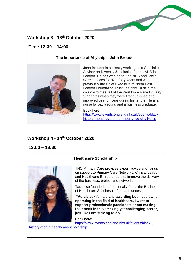# **Workshop 3 - 13 th October 2020**

## **Time 12:30 – 14:00**

#### **The Importance of Allyship – John Brouder**



John Brouder is currently working as a Specialist Advisor on Diversity & Inclusion for the NHS in London. He has worked for the NHS and Social Care services for over forty years and was previously the Chief Executive of North East London Foundation Trust, the only Trust in the country to meet all of the Workforce Race Equality Standards when they were first published and improved year on year during his tenure. He is a nurse by background and a business graduate.

Book here:

[https://www.events.england.nhs.uk/events/black](https://www.events.england.nhs.uk/events/black-history-month-event-the-importance-of-allyship)[history-month-event-the-importance-of-allyship](https://www.events.england.nhs.uk/events/black-history-month-event-the-importance-of-allyship)

# **Workshop 4 - 14th October 2020**

**12:00 – 13:30**



#### **Healthcare Scholarship**

THC Primary Care provides expert advice and handson support to Primary Care Networks, Clinical Leads and Healthcare Entrepreneurs to improve the delivery of the business, project and networks.

Tara also founded and personally funds the Business of Healthcare Scholarship fund and states:

**"As a black female and awarding business owner operating in the field of healthcare, I want to support professionals passionate about making their mark in this amazing yet challenging sector, just like I am striving to do."**

Book here: [https://www.events.england.nhs.uk/events/black](https://www.events.england.nhs.uk/events/black-history-month-healthcare-scholarship)[history-month-healthcare-scholarship](https://www.events.england.nhs.uk/events/black-history-month-healthcare-scholarship)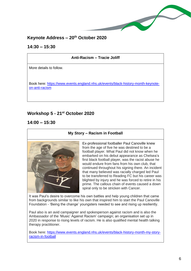

# **Keynote Address – 20th October 2020**

# **14:30 – 15:30**

# **Anti-Racism – Tracie Joliff** More details to follow. Book here: [https://www.events.england.nhs.uk/events/black-history-month-keynote](https://www.events.england.nhs.uk/events/black-history-month-keynote-on-anti-racism)[on-anti-racism](https://www.events.england.nhs.uk/events/black-history-month-keynote-on-anti-racism)

# **Workshop 5 - 21st October 2020**

**14:00 – 15:30**

### **My Story – Racism in Football**



Ex-professional footballer Paul Canoville knew from the age of five he was destined to be a football player. What Paul did not know when he embarked on his debut appearance as Chelsea's first black football player, was the racist abuse he would endure from fans from his own club, that continued throughout his signing there. An incident that many believed was racially charged led Paul to be transferred to Reading FC but his career was blighted by injury and he was forced to retire in his prime. The callous chain of events caused a down spiral only to be stricken with Cancer.

It was Paul's desire to overcome his own battles and help young children that came from backgrounds similar to like his own that inspired him to start the Paul Canoville Foundation - 'Being the change' youngsters needed to see and rising up resiliently.

Paul also is an avid campaigner and spokesperson against racism and is also the Ambassador of the 'Music' Against Racism' campaign; an organisation set up in 2020 in response to rising levels of racism. He is also qualified mental health talking therapy practitioner.

Book here: [https://www.events.england.nhs.uk/events/black-history-month-my-story](https://www.events.england.nhs.uk/events/black-history-month-my-story-racism-in-football)[racism-in-football](https://www.events.england.nhs.uk/events/black-history-month-my-story-racism-in-football)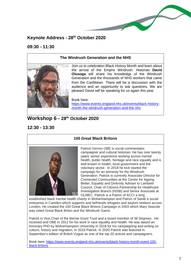

# **Keynote Address - 28th October 2020**

### **09:30 - 11:30**

#### **The Windrush Generation and the NHS**



Join us to celebration Black History Month and learn about the arrival of the Empire Windrush. Historian **David Olusoga** will share his knowledge of the Windrush Generation and the thousands of NHS workers that came from the Caribbean. There will be a discussion with the audience and an opportunity to ask questions. We are pleased David will be speaking for us again this year.

Book here: [https://www.events.england.nhs.uk/events/black-history](https://www.events.england.nhs.uk/events/black-history-month-the-windrush-generation-and-the-nhs)[month-the-windrush-generation-and-the-nhs](https://www.events.england.nhs.uk/events/black-history-month-the-windrush-generation-and-the-nhs) 

# **Workshop 6 - 28th October 2020**

**12:30 - 13:30**



#### **100 Great Black Britons**

Patrick Vernon OBE is social commentator, campaigner and cultural historian. He has over twenty years' senior experience working across mental health, public health, heritage and race equality and is well known in health, local government and the voluntary sector. In 2018 he kick started the campaign for an amnesty for the Windrush Generation. Patrick is currently Associate Director for Connected Communities at the Centre for Ageing Better, Equality and Diversity Adviser to Lambeth Council, Chair of Citizens Partnership for Healthcare Investigation Branch (HSIB) and Senior Associate at OLMEC. Patrick is a Patron of ACCI a long

established black mental health charity in Wolverhampton and Patron of Santé a social enterprise in Camden which supports and befriends refugees and asylum seekers across London. He created the 100 Great Black Britons Campaign in 2003 which Mary Seacole was voted Great Black Briton and the Windrush Game.

Patrick is Vice Chair of the Bernie Grant Trust and a board member of 38 Degrees. He received and OBE in 2012 for his work in race equality and health. He was award an honorary PhD by Wolverhampton University in 2018 for his campaigning and writing on culture, history and migration. In 2019 Patrick. In 2020 Patrick was featured in September's edition of British Vogue as one of the top 20 activist and campaigners.

Book here: [https://www.events.england.nhs.uk/events/black-history-month-event-100](https://www.events.england.nhs.uk/events/black-history-month-event-100-black-britons) [black-britons](https://www.events.england.nhs.uk/events/black-history-month-event-100-black-britons)